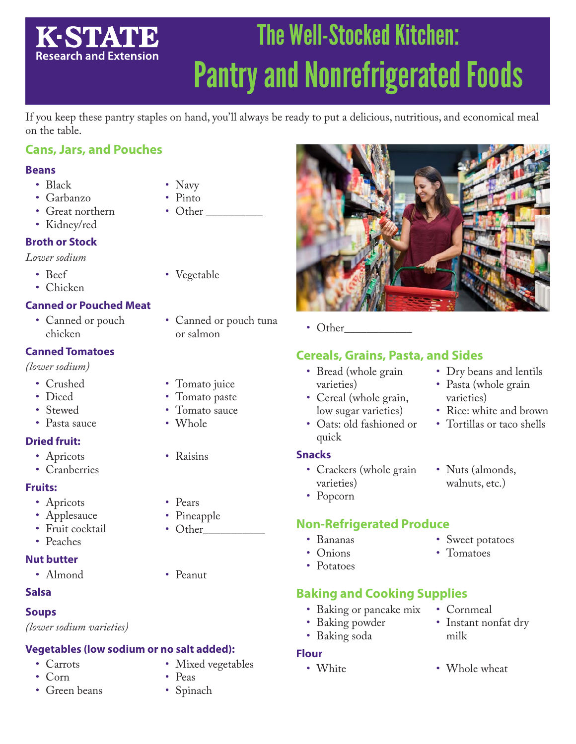# The Well-Stocked Kitchen: **K-STATE Research and Extension** Pantry and Nonrefrigerated Foods

If you keep these pantry staples on hand, you'll always be ready to put a delicious, nutritious, and economical meal on the table.

# **Cans, Jars, and Pouches**

#### **Beans**

- Black
- Garbanzo
- Great northern
- Kidney/red

## **Broth or Stock**

#### *Lower sodium*

- Beef
- Chicken

## **Canned or Pouched Meat**

• Canned or pouch chicken

## **Canned Tomatoes**

*(lower sodium)*

- Crushed
- Diced
- Stewed
- Pasta sauce

## **Dried fruit:**

- Apricots
- Cranberries

### **Fruits:**

- Apricots
- Applesauce
- Fruit cocktail
- Peaches

### **Nut butter**

• Almond • Peanut

### **Salsa**

### **Soups**

*(lower sodium varieties)*

### **Vegetables (low sodium or no salt added):**

- Carrots
- Corn
- Green beans
- Navy
- Pinto
- Other

• Vegetable

- Canned or pouch tuna
- Tomato juice
- Tomato paste
- Tomato sauce
- Whole
- Raisins
- Pears
- Pineapple
- Other
- 
- -
- -
	-

• Mixed vegetables

• Peas • Spinach

# **Non-Refrigerated Produce**

- Bananas
- 
- Potatoes

# **Baking and Cooking Supplies**

- Baking or pancake mix
- Baking powder
- Baking soda

### **Flour**



• Other\_

## **Cereals, Grains, Pasta, and Sides**

- Bread (whole grain varieties)
- Cereal (whole grain, low sugar varieties)
- Oats: old fashioned or quick

#### **Snacks**

- Crackers (whole grain varieties)
- Popcorn

- Sweet potatoes
- Tomatoes
- - Cornmeal
		- Instant nonfat dry milk
- White Whole wheat
- 
- 

or salmon



- Dry beans and lentils
- Pasta (whole grain varieties)
- Rice: white and brown
- Tortillas or taco shells
- Nuts (almonds, walnuts, etc.)
- 
- Onions
- 
-